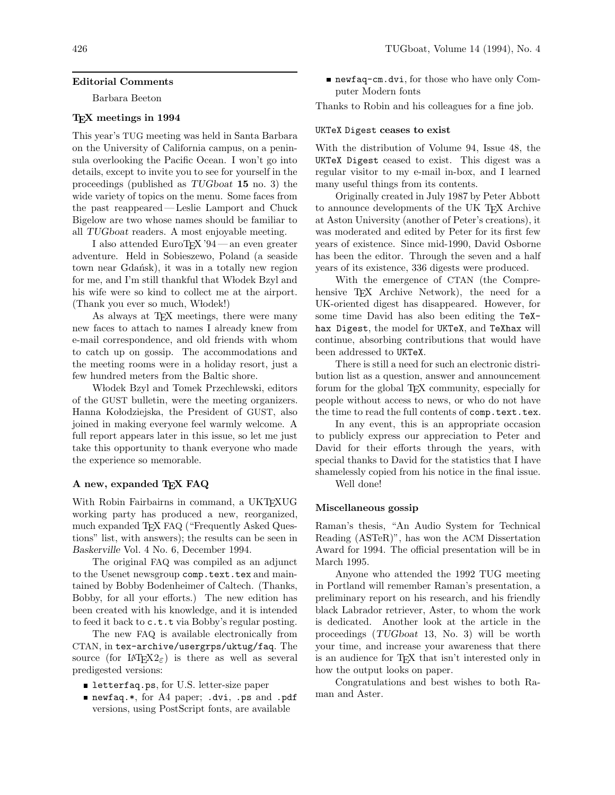## **Editorial Comments**

Barbara Beeton

### **TEX meetings in 1994**

This year's TUG meeting was held in Santa Barbara on the University of California campus, on a peninsula overlooking the Pacific Ocean. I won't go into details, except to invite you to see for yourself in the proceedings (published as *TUGboat* **15** no. 3) the wide variety of topics on the menu. Some faces from the past reappeared—Leslie Lamport and Chuck Bigelow are two whose names should be familiar to all *TUGboat* readers. A most enjoyable meeting.

I also attended EuroT<sub>F</sub>X '94 — an even greater adventure. Held in Sobieszewo, Poland (a seaside town near Gdańsk), it was in a totally new region for me, and I'm still thankful that Włodek Bzyl and his wife were so kind to collect me at the airport. (Thank you ever so much, Włodek!)

As always at T<sub>E</sub>X meetings, there were many new faces to attach to names I already knew from e-mail correspondence, and old friends with whom to catch up on gossip. The accommodations and the meeting rooms were in a holiday resort, just a few hundred meters from the Baltic shore.

Włodek Bzyl and Tomek Przechlewski, editors of the GUST bulletin, were the meeting organizers. Hanna Kołodziejska, the President of GUST, also joined in making everyone feel warmly welcome. A full report appears later in this issue, so let me just take this opportunity to thank everyone who made the experience so memorable.

# **A new, expanded TEX FAQ**

With Robin Fairbairns in command, a UKT<sub>E</sub>XUG working party has produced a new, reorganized, much expanded T<sub>E</sub>X FAQ ("Frequently Asked Questions" list, with answers); the results can be seen in *Baskerville* Vol. 4 No. 6, December 1994.

The original FAQ was compiled as an adjunct to the Usenet newsgroup comp.text.tex and maintained by Bobby Bodenheimer of Caltech. (Thanks, Bobby, for all your efforts.) The new edition has been created with his knowledge, and it is intended to feed it back to c.t.t via Bobby's regular posting.

The new FAQ is available electronically from CTAN, in tex-archive/usergrps/uktug/faq. The source (for  $\text{LATEX2}_{\epsilon}$ ) is there as well as several predigested versions:

- letterfaq.ps, for U.S. letter-size paper
- newfaq.\*, for A4 paper; .dvi, .ps and .pdf versions, using PostScript fonts, are available

newfaq-cm.dvi, for those who have only Computer Modern fonts

Thanks to Robin and his colleagues for a fine job.

### UKTeX Digest **ceases to exist**

With the distribution of Volume 94, Issue 48, the UKTeX Digest ceased to exist. This digest was a regular visitor to my e-mail in-box, and I learned many useful things from its contents.

Originally created in July 1987 by Peter Abbott to announce developments of the UK T<sub>EX</sub> Archive at Aston University (another of Peter's creations), it was moderated and edited by Peter for its first few years of existence. Since mid-1990, David Osborne has been the editor. Through the seven and a half years of its existence, 336 digests were produced.

With the emergence of CTAN (the Comprehensive TEX Archive Network), the need for a UK-oriented digest has disappeared. However, for some time David has also been editing the TeXhax Digest, the model for UKTeX, and TeXhax will continue, absorbing contributions that would have been addressed to UKTeX.

There is still a need for such an electronic distribution list as a question, answer and announcement forum for the global T<sub>EX</sub> community, especially for people without access to news, or who do not have the time to read the full contents of comp.text.tex.

In any event, this is an appropriate occasion to publicly express our appreciation to Peter and David for their efforts through the years, with special thanks to David for the statistics that I have shamelessly copied from his notice in the final issue.

Well done!

### **Miscellaneous gossip**

Raman's thesis, "An Audio System for Technical Reading (ASTeR)", has won the ACM Dissertation Award for 1994. The official presentation will be in March 1995.

Anyone who attended the 1992 TUG meeting in Portland will remember Raman's presentation, a preliminary report on his research, and his friendly black Labrador retriever, Aster, to whom the work is dedicated. Another look at the article in the proceedings (*TUGboat* 13, No. 3) will be worth your time, and increase your awareness that there is an audience for T<sub>EX</sub> that isn't interested only in how the output looks on paper.

Congratulations and best wishes to both Raman and Aster.